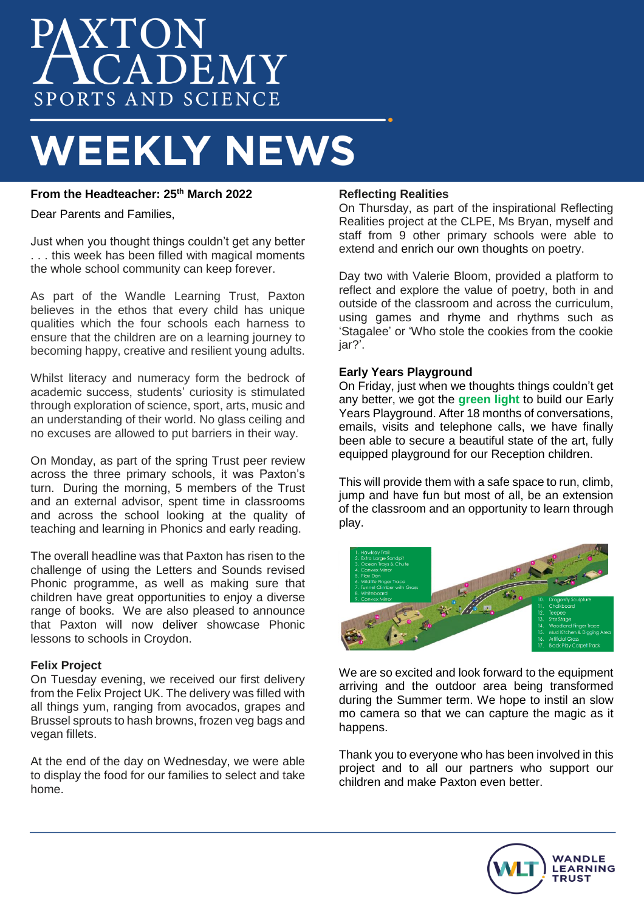# **AXTON**<br>**ACADEMY** SPORTS AND SCIENCE

## **WEEKLY NEWS**

### **From the Headteacher: 25th March 2022**

Dear Parents and Families,

Just when you thought things couldn't get any better . . . this week has been filled with magical moments the whole school community can keep forever.

As part of the Wandle Learning Trust, Paxton believes in the ethos that every child has unique qualities which the four schools each harness to ensure that the children are on a learning journey to becoming happy, creative and resilient young adults.

Whilst literacy and numeracy form the bedrock of academic success, students' curiosity is stimulated through exploration of science, sport, arts, music and an understanding of their world. No glass ceiling and no excuses are allowed to put barriers in their way.

On Monday, as part of the spring Trust peer review across the three primary schools, it was Paxton's turn. During the morning, 5 members of the Trust and an external advisor, spent time in classrooms and across the school looking at the quality of teaching and learning in Phonics and early reading.

The overall headline was that Paxton has risen to the challenge of using the Letters and Sounds revised Phonic programme, as well as making sure that children have great opportunities to enjoy a diverse range of books. We are also pleased to announce that Paxton will now deliver showcase Phonic lessons to schools in Croydon.

#### **Felix Project**

On Tuesday evening, we received our first delivery from the Felix Project UK. The delivery was filled with all things yum, ranging from avocados, grapes and Brussel sprouts to hash browns, frozen veg bags and vegan fillets.

At the end of the day on Wednesday, we were able to display the food for our families to select and take home.

#### **Reflecting Realities**

On Thursday, as part of the inspirational Reflecting Realities project at the CLPE, Ms Bryan, myself and staff from 9 other primary schools were able to extend and enrich our own thoughts on poetry.

Day two with Valerie Bloom, provided a platform to reflect and explore the value of poetry, both in and outside of the classroom and across the curriculum, using games and rhyme and rhythms such as 'Stagalee' or 'Who stole the cookies from the cookie iar?'.

#### **Early Years Playground**

On Friday, just when we thoughts things couldn't get any better, we got the **green light** to build our Early Years Playground. After 18 months of conversations, emails, visits and telephone calls, we have finally been able to secure a beautiful state of the art, fully equipped playground for our Reception children.

This will provide them with a safe space to run, climb, jump and have fun but most of all, be an extension of the classroom and an opportunity to learn through play.



We are so excited and look forward to the equipment arriving and the outdoor area being transformed during the Summer term. We hope to instil an slow mo camera so that we can capture the magic as it happens.

Thank you to everyone who has been involved in this project and to all our partners who support our children and make Paxton even better.